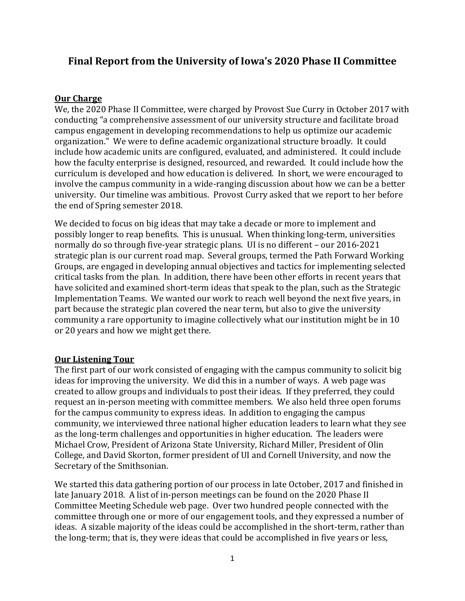# **Final Report from the University of Iowa's 2020 Phase II Committee**

#### **Our Charge**

We, the 2020 Phase II Committee, were charged by Provost Sue Curry in October 2017 with conducting "a comprehensive assessment of our university structure and facilitate broad campus engagement in developing recommendations to help us optimize our academic organization." We were to define academic organizational structure broadly. It could include how academic units are configured, evaluated, and administered. It could include how the faculty enterprise is designed, resourced, and rewarded. It could include how the curriculum is developed and how education is delivered. In short, we were encouraged to involve the campus community in a wide-ranging discussion about how we can be a better university. Our timeline was ambitious. Provost Curry asked that we report to her before the end of Spring semester 2018.

We decided to focus on big ideas that may take a decade or more to implement and possibly longer to reap benefits. This is unusual. When thinking long-term, universities normally do so through five-year strategic plans. UI is no different – our 2016-2021 strategic plan is our current road map. Several groups, termed the Path Forward Working Groups, are engaged in developing annual objectives and tactics for implementing selected critical tasks from the plan. In addition, there have been other efforts in recent years that have solicited and examined short-term ideas that speak to the plan, such as the Strategic Implementation Teams. We wanted our work to reach well beyond the next five years, in part because the strategic plan covered the near term, but also to give the university community a rare opportunity to imagine collectively what our institution might be in 10 or 20 years and how we might get there.

## **Our Listening Tour**

The first part of our work consisted of engaging with the campus community to solicit big ideas for improving the university. We did this in a number of ways. A web page was created to allow groups and individuals to post their ideas. If they preferred, they could request an in-person meeting with committee members. We also held three open forums for the campus community to express ideas. In addition to engaging the campus community, we interviewed three national higher education leaders to learn what they see as the long-term challenges and opportunities in higher education. The leaders were Michael Crow, President of Arizona State University, Richard Miller, President of Olin College, and David Skorton, former president of UI and Cornell University, and now the Secretary of the Smithsonian.

We started this data gathering portion of our process in late October, 2017 and finished in late January 2018. A list of in-person meetings can be found on the 2020 Phase II Committee Meeting Schedule web page. Over two hundred people connected with the committee through one or more of our engagement tools, and they expressed a number of ideas. A sizable majority of the ideas could be accomplished in the short-term, rather than the long-term; that is, they were ideas that could be accomplished in five years or less,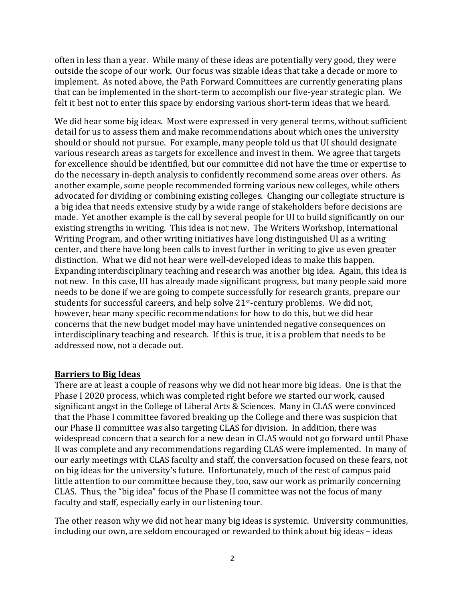often in less than a year. While many of these ideas are potentially very good, they were outside the scope of our work. Our focus was sizable ideas that take a decade or more to implement. As noted above, the Path Forward Committees are currently generating plans that can be implemented in the short-term to accomplish our five-year strategic plan. We felt it best not to enter this space by endorsing various short-term ideas that we heard.

We did hear some big ideas. Most were expressed in very general terms, without sufficient detail for us to assess them and make recommendations about which ones the university should or should not pursue. For example, many people told us that UI should designate various research areas as targets for excellence and invest in them. We agree that targets for excellence should be identified, but our committee did not have the time or expertise to do the necessary in-depth analysis to confidently recommend some areas over others. As another example, some people recommended forming various new colleges, while others advocated for dividing or combining existing colleges. Changing our collegiate structure is a big idea that needs extensive study by a wide range of stakeholders before decisions are made. Yet another example is the call by several people for UI to build significantly on our existing strengths in writing. This idea is not new. The Writers Workshop, International Writing Program, and other writing initiatives have long distinguished UI as a writing center, and there have long been calls to invest further in writing to give us even greater distinction. What we did not hear were well-developed ideas to make this happen. Expanding interdisciplinary teaching and research was another big idea. Again, this idea is not new. In this case, UI has already made significant progress, but many people said more needs to be done if we are going to compete successfully for research grants, prepare our students for successful careers, and help solve 21st-century problems. We did not, however, hear many specific recommendations for how to do this, but we did hear concerns that the new budget model may have unintended negative consequences on interdisciplinary teaching and research. If this is true, it is a problem that needs to be addressed now, not a decade out.

#### **Barriers to Big Ideas**

There are at least a couple of reasons why we did not hear more big ideas. One is that the Phase I 2020 process, which was completed right before we started our work, caused significant angst in the College of Liberal Arts & Sciences. Many in CLAS were convinced that the Phase I committee favored breaking up the College and there was suspicion that our Phase II committee was also targeting CLAS for division. In addition, there was widespread concern that a search for a new dean in CLAS would not go forward until Phase II was complete and any recommendations regarding CLAS were implemented. In many of our early meetings with CLAS faculty and staff, the conversation focused on these fears, not on big ideas for the university's future. Unfortunately, much of the rest of campus paid little attention to our committee because they, too, saw our work as primarily concerning CLAS. Thus, the "big idea" focus of the Phase II committee was not the focus of many faculty and staff, especially early in our listening tour.

The other reason why we did not hear many big ideas is systemic. University communities, including our own, are seldom encouraged or rewarded to think about big ideas – ideas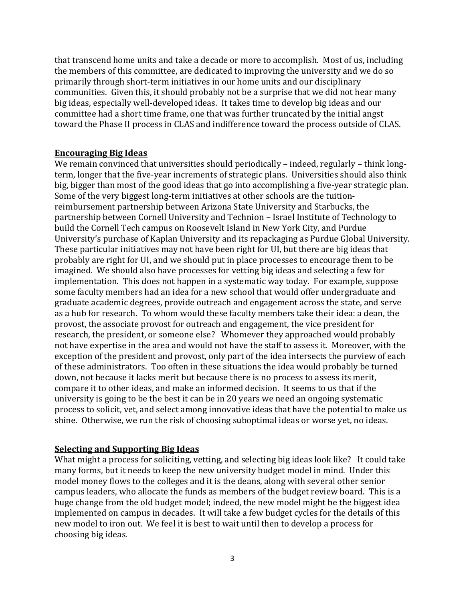that transcend home units and take a decade or more to accomplish. Most of us, including the members of this committee, are dedicated to improving the university and we do so primarily through short-term initiatives in our home units and our disciplinary communities. Given this, it should probably not be a surprise that we did not hear many big ideas, especially well-developed ideas. It takes time to develop big ideas and our committee had a short time frame, one that was further truncated by the initial angst toward the Phase II process in CLAS and indifference toward the process outside of CLAS.

### **Encouraging Big Ideas**

We remain convinced that universities should periodically – indeed, regularly – think longterm, longer that the five-year increments of strategic plans. Universities should also think big, bigger than most of the good ideas that go into accomplishing a five-year strategic plan. Some of the very biggest long-term initiatives at other schools are the tuitionreimbursement partnership between Arizona State University and Starbucks, the partnership between Cornell University and Technion – Israel Institute of Technology to build the Cornell Tech campus on Roosevelt Island in New York City, and Purdue University's purchase of Kaplan University and its repackaging as Purdue Global University. These particular initiatives may not have been right for UI, but there are big ideas that probably are right for UI, and we should put in place processes to encourage them to be imagined. We should also have processes for vetting big ideas and selecting a few for implementation. This does not happen in a systematic way today. For example, suppose some faculty members had an idea for a new school that would offer undergraduate and graduate academic degrees, provide outreach and engagement across the state, and serve as a hub for research. To whom would these faculty members take their idea: a dean, the provost, the associate provost for outreach and engagement, the vice president for research, the president, or someone else? Whomever they approached would probably not have expertise in the area and would not have the staff to assess it. Moreover, with the exception of the president and provost, only part of the idea intersects the purview of each of these administrators. Too often in these situations the idea would probably be turned down, not because it lacks merit but because there is no process to assess its merit, compare it to other ideas, and make an informed decision. It seems to us that if the university is going to be the best it can be in 20 years we need an ongoing systematic process to solicit, vet, and select among innovative ideas that have the potential to make us shine. Otherwise, we run the risk of choosing suboptimal ideas or worse yet, no ideas.

## **Selecting and Supporting Big Ideas**

What might a process for soliciting, vetting, and selecting big ideas look like? It could take many forms, but it needs to keep the new university budget model in mind. Under this model money flows to the colleges and it is the deans, along with several other senior campus leaders, who allocate the funds as members of the budget review board. This is a huge change from the old budget model; indeed, the new model might be the biggest idea implemented on campus in decades. It will take a few budget cycles for the details of this new model to iron out. We feel it is best to wait until then to develop a process for choosing big ideas.